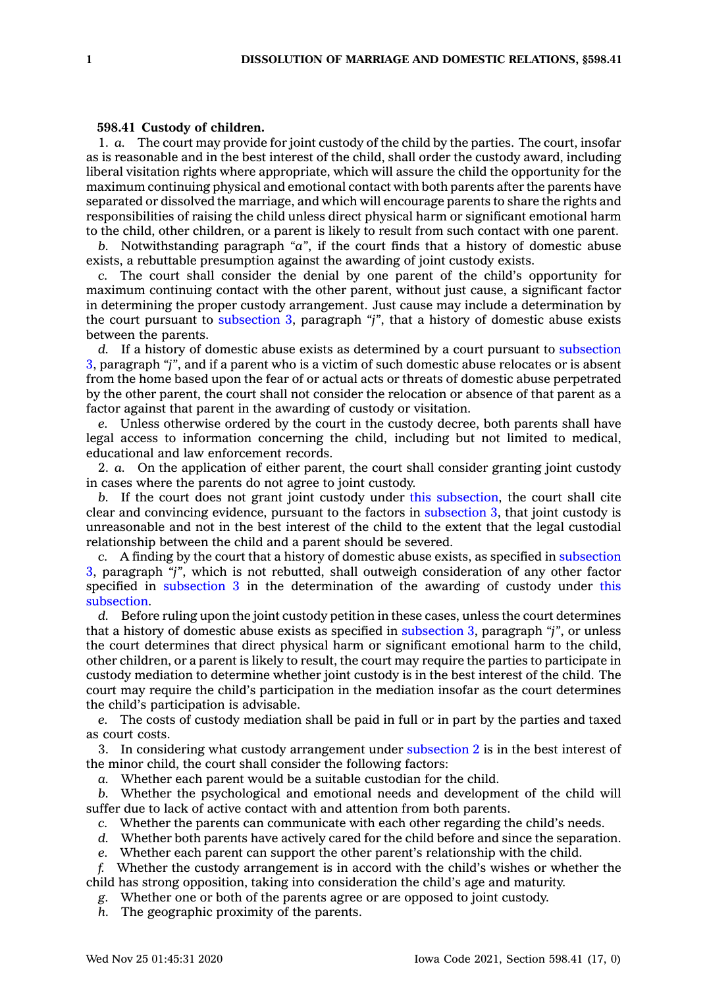## **598.41 Custody of children.**

1. *a.* The court may provide for joint custody of the child by the parties. The court, insofar as is reasonable and in the best interest of the child, shall order the custody award, including liberal visitation rights where appropriate, which will assure the child the opportunity for the maximum continuing physical and emotional contact with both parents after the parents have separated or dissolved the marriage, and which will encourage parents to share the rights and responsibilities of raising the child unless direct physical harm or significant emotional harm to the child, other children, or <sup>a</sup> parent is likely to result from such contact with one parent.

*b.* Notwithstanding paragraph *"a"*, if the court finds that <sup>a</sup> history of domestic abuse exists, <sup>a</sup> rebuttable presumption against the awarding of joint custody exists.

*c.* The court shall consider the denial by one parent of the child's opportunity for maximum continuing contact with the other parent, without just cause, <sup>a</sup> significant factor in determining the proper custody arrangement. Just cause may include <sup>a</sup> determination by the court pursuant to [subsection](https://www.legis.iowa.gov/docs/code/598.41.pdf) 3, paragraph *"j"*, that <sup>a</sup> history of domestic abuse exists between the parents.

*d.* If <sup>a</sup> history of domestic abuse exists as determined by <sup>a</sup> court pursuant to [subsection](https://www.legis.iowa.gov/docs/code/598.41.pdf) [3](https://www.legis.iowa.gov/docs/code/598.41.pdf), paragraph *"j"*, and if <sup>a</sup> parent who is <sup>a</sup> victim of such domestic abuse relocates or is absent from the home based upon the fear of or actual acts or threats of domestic abuse perpetrated by the other parent, the court shall not consider the relocation or absence of that parent as <sup>a</sup> factor against that parent in the awarding of custody or visitation.

*e.* Unless otherwise ordered by the court in the custody decree, both parents shall have legal access to information concerning the child, including but not limited to medical, educational and law enforcement records.

2. *a.* On the application of either parent, the court shall consider granting joint custody in cases where the parents do not agree to joint custody.

*b.* If the court does not grant joint custody under this [subsection](https://www.legis.iowa.gov/docs/code/598.41.pdf), the court shall cite clear and convincing evidence, pursuant to the factors in [subsection](https://www.legis.iowa.gov/docs/code/598.41.pdf) 3, that joint custody is unreasonable and not in the best interest of the child to the extent that the legal custodial relationship between the child and <sup>a</sup> parent should be severed.

*c.* A finding by the court that <sup>a</sup> history of domestic abuse exists, as specified in [subsection](https://www.legis.iowa.gov/docs/code/598.41.pdf) [3](https://www.legis.iowa.gov/docs/code/598.41.pdf), paragraph *"j"*, which is not rebutted, shall outweigh consideration of any other factor specified in [subsection](https://www.legis.iowa.gov/docs/code/598.41.pdf) 3 in the determination of the awarding of custody under [this](https://www.legis.iowa.gov/docs/code/598.41.pdf) [subsection](https://www.legis.iowa.gov/docs/code/598.41.pdf).

*d.* Before ruling upon the joint custody petition in these cases, unless the court determines that <sup>a</sup> history of domestic abuse exists as specified in [subsection](https://www.legis.iowa.gov/docs/code/598.41.pdf) 3, paragraph *"j"*, or unless the court determines that direct physical harm or significant emotional harm to the child, other children, or <sup>a</sup> parent is likely to result, the court may require the parties to participate in custody mediation to determine whether joint custody is in the best interest of the child. The court may require the child's participation in the mediation insofar as the court determines the child's participation is advisable.

*e.* The costs of custody mediation shall be paid in full or in part by the parties and taxed as court costs.

3. In considering what custody arrangement under [subsection](https://www.legis.iowa.gov/docs/code/598.41.pdf) 2 is in the best interest of the minor child, the court shall consider the following factors:

*a.* Whether each parent would be <sup>a</sup> suitable custodian for the child.

*b.* Whether the psychological and emotional needs and development of the child will suffer due to lack of active contact with and attention from both parents.

*c.* Whether the parents can communicate with each other regarding the child's needs.

*d.* Whether both parents have actively cared for the child before and since the separation.

*e.* Whether each parent can support the other parent's relationship with the child.

*f.* Whether the custody arrangement is in accord with the child's wishes or whether the child has strong opposition, taking into consideration the child's age and maturity.

*g.* Whether one or both of the parents agree or are opposed to joint custody.

*h.* The geographic proximity of the parents.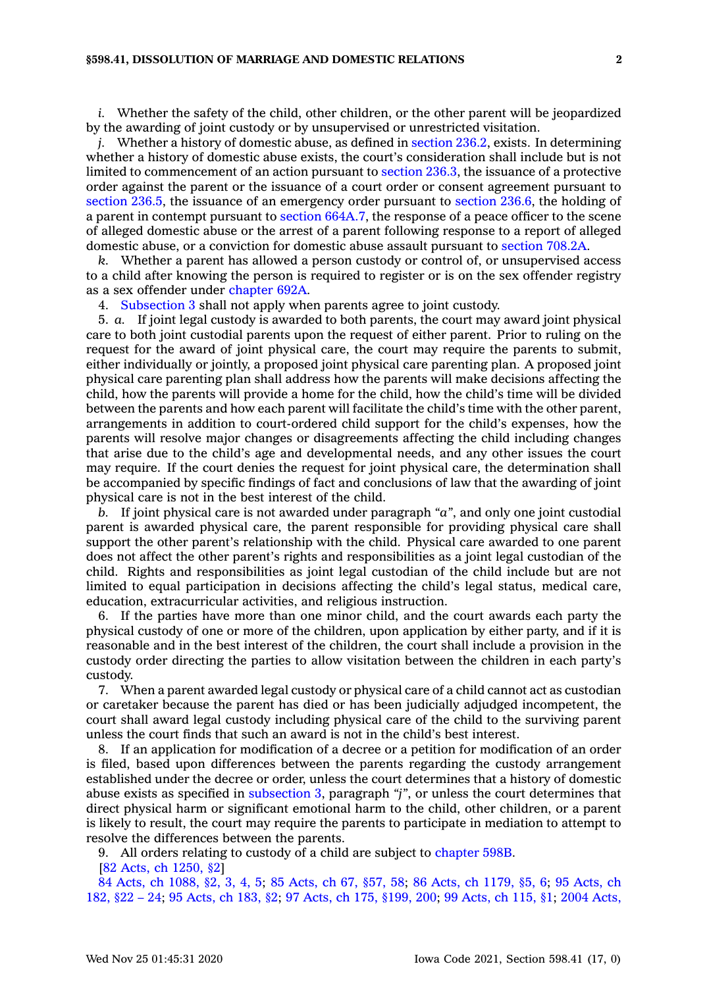*i.* Whether the safety of the child, other children, or the other parent will be jeopardized by the awarding of joint custody or by unsupervised or unrestricted visitation.

*j.* Whether a history of domestic abuse, as defined in [section](https://www.legis.iowa.gov/docs/code/236.2.pdf) 236.2, exists. In determining whether <sup>a</sup> history of domestic abuse exists, the court's consideration shall include but is not limited to commencement of an action pursuant to [section](https://www.legis.iowa.gov/docs/code/236.3.pdf) 236.3, the issuance of <sup>a</sup> protective order against the parent or the issuance of <sup>a</sup> court order or consent agreement pursuant to [section](https://www.legis.iowa.gov/docs/code/236.5.pdf) 236.5, the issuance of an emergency order pursuant to [section](https://www.legis.iowa.gov/docs/code/236.6.pdf) 236.6, the holding of <sup>a</sup> parent in contempt pursuant to section [664A.7](https://www.legis.iowa.gov/docs/code/664A.7.pdf), the response of <sup>a</sup> peace officer to the scene of alleged domestic abuse or the arrest of <sup>a</sup> parent following response to <sup>a</sup> report of alleged domestic abuse, or <sup>a</sup> conviction for domestic abuse assault pursuant to [section](https://www.legis.iowa.gov/docs/code/708.2A.pdf) 708.2A.

*k.* Whether <sup>a</sup> parent has allowed <sup>a</sup> person custody or control of, or unsupervised access to <sup>a</sup> child after knowing the person is required to register or is on the sex offender registry as <sup>a</sup> sex offender under [chapter](https://www.legis.iowa.gov/docs/code//692A.pdf) 692A.

4. [Subsection](https://www.legis.iowa.gov/docs/code/598.41.pdf) 3 shall not apply when parents agree to joint custody.

5. *a.* If joint legal custody is awarded to both parents, the court may award joint physical care to both joint custodial parents upon the request of either parent. Prior to ruling on the request for the award of joint physical care, the court may require the parents to submit, either individually or jointly, <sup>a</sup> proposed joint physical care parenting plan. A proposed joint physical care parenting plan shall address how the parents will make decisions affecting the child, how the parents will provide <sup>a</sup> home for the child, how the child's time will be divided between the parents and how each parent will facilitate the child's time with the other parent, arrangements in addition to court-ordered child support for the child's expenses, how the parents will resolve major changes or disagreements affecting the child including changes that arise due to the child's age and developmental needs, and any other issues the court may require. If the court denies the request for joint physical care, the determination shall be accompanied by specific findings of fact and conclusions of law that the awarding of joint physical care is not in the best interest of the child.

*b.* If joint physical care is not awarded under paragraph *"a"*, and only one joint custodial parent is awarded physical care, the parent responsible for providing physical care shall support the other parent's relationship with the child. Physical care awarded to one parent does not affect the other parent's rights and responsibilities as <sup>a</sup> joint legal custodian of the child. Rights and responsibilities as joint legal custodian of the child include but are not limited to equal participation in decisions affecting the child's legal status, medical care, education, extracurricular activities, and religious instruction.

6. If the parties have more than one minor child, and the court awards each party the physical custody of one or more of the children, upon application by either party, and if it is reasonable and in the best interest of the children, the court shall include <sup>a</sup> provision in the custody order directing the parties to allow visitation between the children in each party's custody.

7. When <sup>a</sup> parent awarded legal custody or physical care of <sup>a</sup> child cannot act as custodian or caretaker because the parent has died or has been judicially adjudged incompetent, the court shall award legal custody including physical care of the child to the surviving parent unless the court finds that such an award is not in the child's best interest.

8. If an application for modification of <sup>a</sup> decree or <sup>a</sup> petition for modification of an order is filed, based upon differences between the parents regarding the custody arrangement established under the decree or order, unless the court determines that <sup>a</sup> history of domestic abuse exists as specified in [subsection](https://www.legis.iowa.gov/docs/code/598.41.pdf) 3, paragraph *"j"*, or unless the court determines that direct physical harm or significant emotional harm to the child, other children, or <sup>a</sup> parent is likely to result, the court may require the parents to participate in mediation to attempt to resolve the differences between the parents.

9. All orders relating to custody of <sup>a</sup> child are subject to [chapter](https://www.legis.iowa.gov/docs/code//598B.pdf) 598B.

[82 Acts, ch [1250,](https://www.legis.iowa.gov/docs/acts/1982/CH1250.pdf) §2]

84 Acts, ch [1088,](https://www.legis.iowa.gov/docs/acts/1984/CH1088.pdf) §2, 3, 4, 5; 85 [Acts,](https://www.legis.iowa.gov/docs/acts/85/CH0067.pdf) ch 67, §57, 58; 86 Acts, ch [1179,](https://www.legis.iowa.gov/docs/acts/86/CH1179.pdf) §5, 6; 95 [Acts,](https://www.legis.iowa.gov/docs/acts/95/CH0182.pdf) ch [182,](https://www.legis.iowa.gov/docs/acts/95/CH0182.pdf) §22 – 24; 95 [Acts,](https://www.legis.iowa.gov/docs/acts/95/CH0183.pdf) ch 183, §2; 97 Acts, ch 175, [§199,](https://www.legis.iowa.gov/docs/acts/97/CH0175.pdf) 200; 99 [Acts,](https://www.legis.iowa.gov/docs/acts/99/CH0115.pdf) ch 115, §1; 2004 [Acts,](https://www.legis.iowa.gov/docs/acts/2004/CH1169.pdf)